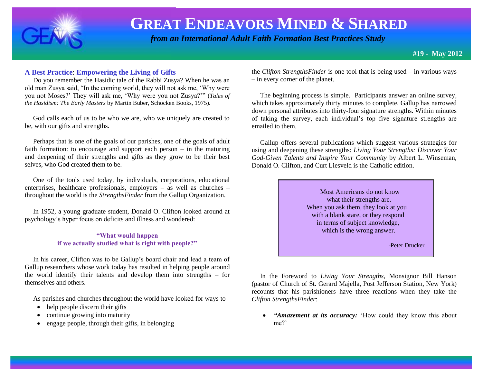

 *from an International Adult Faith Formation Best Practices Study*

### **A Best Practice**: **Empowering the Living of Gifts**

 Do you remember the Hasidic tale of the Rabbi Zusya? When he was an old man Zusya said, "In the coming world, they will not ask me, 'Why were you not Moses?' They will ask me, 'Why were you not Zusya?'" (*Tales of the Hasidism: The Early Masters* by Martin Buber, Schocken Books, 1975).

 God calls each of us to be who we are, who we uniquely are created to be, with our gifts and strengths.

 Perhaps that is one of the goals of our parishes, one of the goals of adult faith formation: to encourage and support each person – in the maturing and deepening of their strengths and gifts as they grow to be their best selves, who God created them to be.

 One of the tools used today, by individuals, corporations, educational enterprises, healthcare professionals, employers – as well as churches – throughout the world is the *StrengthsFinder* from the Gallup Organization.

 In 1952, a young graduate student, Donald O. Clifton looked around at psychology's hyper focus on deficits and illness and wondered:

#### **"What would happen if we actually studied what is right with people?"**

 In his career, Clifton was to be Gallup's board chair and lead a team of Gallup researchers whose work today has resulted in helping people around the world identify their talents and develop them into strengths – for themselves and others.

As parishes and churches throughout the world have looked for ways to

- help people discern their gifts
- continue growing into maturity
- engage people, through their gifts, in belonging

the *Clifton StrengthsFinder* is one tool that is being used – in various ways – in every corner of the planet.

 The beginning process is simple. Participants answer an online survey, which takes approximately thirty minutes to complete. Gallup has narrowed down personal attributes into thirty-four signature strengths. Within minutes of taking the survey, each individual's top five signature strengths are emailed to them.

 Gallup offers several publications which suggest various strategies for using and deepening these strengths: *Living Your Strengths: Discover Your God-Given Talents and Inspire Your Community* by Albert L. Winseman, Donald O. Clifton, and Curt Liesveld is the Catholic edition.

> Most Americans do not know what their strengths are. When you ask them, they look at you with a blank stare, or they respond in terms of subject knowledge, which is the wrong answer.

> > -Peter Drucker

 In the Foreword to *Living Your Strengths*, Monsignor Bill Hanson (pastor of Church of St. Gerard Majella, Post Jefferson Station, New York) recounts that his parishioners have three reactions when they take the *Clifton StrengthsFinder*:

 *"Amazement at its accuracy:* 'How could they know this about me?'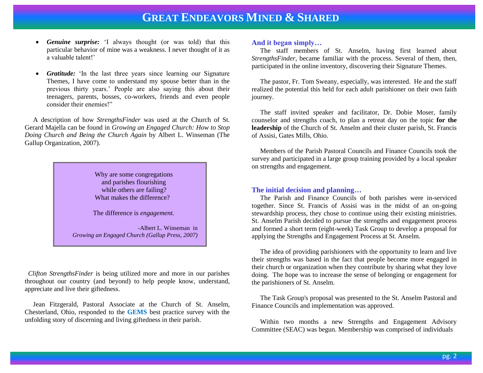- *Genuine surprise:* 'I always thought (or was told) that this particular behavior of mine was a weakness. I never thought of it as a valuable talent!'
- *Gratitude:* 'In the last three years since learning our Signature Themes, I have come to understand my spouse better than in the previous thirty years.' People are also saying this about their teenagers, parents, bosses, co-workers, friends and even people consider their enemies!"

 A description of how *StrengthsFinder* was used at the Church of St. Gerard Majella can be found in *Growing an Engaged Church: How to Stop Doing Church and Being the Church Again* by Albert L. Winseman (The Gallup Organization, 2007).

> Why are some congregations and parishes flourishing while others are failing? What makes the difference?

The difference is *engagement.*

 -Albert L. Winseman in *Growing an Engaged Church (Gallup Press, 2007)*

 *Clifton StrengthsFinder* is being utilized more and more in our parishes throughout our country (and beyond) to help people know, understand, appreciate and live their giftedness.

 Jean Fitzgerald, Pastoral Associate at the Church of St. Anselm, Chesterland, Ohio, responded to the **GEMS** best practice survey with the unfolding story of discerning and living giftedness in their parish.

#### **And it began simply…**

 The staff members of St. Anselm, having first learned about *StrengthsFinder*, became familiar with the process. Several of them, then, participated in the online inventory, discovering their Signature Themes.

 The pastor, Fr. Tom Sweany, especially, was interested. He and the staff realized the potential this held for each adult parishioner on their own faith journey.

 The staff invited speaker and facilitator, Dr. Dobie Moser, family counselor and strengths coach, to plan a retreat day on the topic **for the leadership** of the Church of St. Anselm and their cluster parish, St. Francis of Assisi, Gates Mills, Ohio.

 Members of the Parish Pastoral Councils and Finance Councils took the survey and participated in a large group training provided by a local speaker on strengths and engagement.

#### **The initial decision and planning…**

 The Parish and Finance Councils of both parishes were in-serviced together. Since St. Francis of Assisi was in the midst of an on-going stewardship process, they chose to continue using their existing ministries. St. Anselm Parish decided to pursue the strengths and engagement process and formed a short term (eight-week) Task Group to develop a proposal for applying the Strengths and Engagement Process at St. Anselm.

 The idea of providing parishioners with the opportunity to learn and live their strengths was based in the fact that people become more engaged in their church or organization when they contribute by sharing what they love doing. The hope was to increase the sense of belonging or engagement for the parishioners of St. Anselm.

 The Task Group's proposal was presented to the St. Anselm Pastoral and Finance Councils and implementation was approved.

 Within two months a new Strengths and Engagement Advisory Committee (SEAC) was begun. Membership was comprised of individuals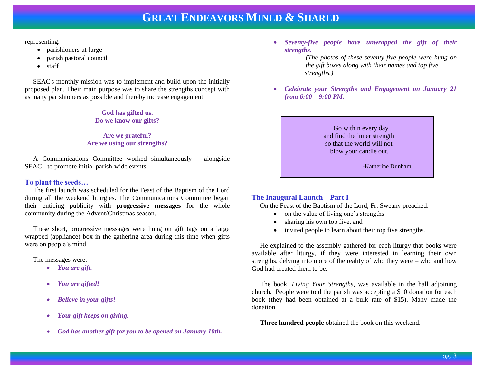representing:

- parishioners-at-large
- parish pastoral council
- staff

 SEAC's monthly mission was to implement and build upon the initially proposed plan. Their main purpose was to share the strengths concept with as many parishioners as possible and thereby increase engagement.

> **God has gifted us. Do we know our gifts?**

**Are we grateful? Are we using our strengths?**

 A Communications Committee worked simultaneously – alongside SEAC - to promote initial parish-wide events.

#### **To plant the seeds…**

 The first launch was scheduled for the Feast of the Baptism of the Lord during all the weekend liturgies. The Communications Committee began their enticing publicity with **progressive messages** for the whole community during the Advent/Christmas season.

 These short, progressive messages were hung on gift tags on a large wrapped (appliance) box in the gathering area during this time when gifts were on people's mind.

The messages were:

- *You are gift.*
- *You are gifted!*
- *Believe in your gifts!*
- *Your gift keeps on giving.*
- *God has another gift for you to be opened on January 10th.*

 *Seventy-five people have unwrapped the gift of their strengths.* 

> *(The photos of these seventy-five people were hung on the gift boxes along with their names and top five strengths.)*

 *Celebrate your Strengths and Engagement on January 21 from 6:00 – 9:00 PM.* 

> Go within every day and find the inner strength so that the world will not blow your candle out.

> > -Katherine Dunham

### **The Inaugural Launch – Part I**

On the Feast of the Baptism of the Lord, Fr. Sweany preached:

- on the value of living one's strengths
- sharing his own top five, and
- invited people to learn about their top five strengths.

 He explained to the assembly gathered for each liturgy that books were available after liturgy, if they were interested in learning their own strengths, delving into more of the reality of who they were – who and how God had created them to be.

 The book, *Living Your Strengths*, was available in the hall adjoining church. People were told the parish was accepting a \$10 donation for each book (they had been obtained at a bulk rate of \$15). Many made the donation.

**Three hundred people** obtained the book on this weekend.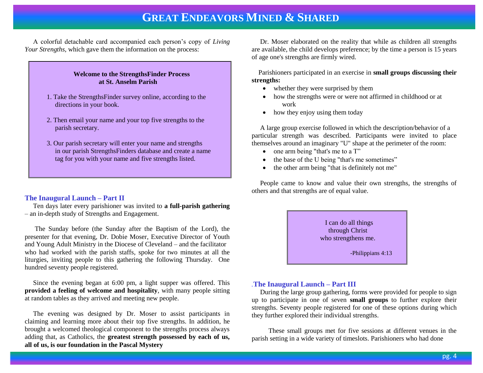A colorful detachable card accompanied each person's copy of *Living Your Strengths,* which gave them the information on the process:

### **Welcome to the StrengthsFinder Process at St. Anselm Parish**

- 1. Take the StrengthsFinder survey online, according to the directions in your book.
- 2. Then email your name and your top five strengths to the parish secretary.
- 3. Our parish secretary will enter your name and strengths in our parish StrengthsFinders database and create a name tag for you with your name and five strengths listed.

### **The Inaugural Launch – Part II**

 Ten days later every parishioner was invited to **a full-parish gathering** – an in-depth study of Strengths and Engagement.

 The Sunday before (the Sunday after the Baptism of the Lord), the presenter for that evening, Dr. Dobie Moser, Executive Director of Youth and Young Adult Ministry in the Diocese of Cleveland – and the facilitator who had worked with the parish staffs, spoke for two minutes at all the liturgies, inviting people to this gathering the following Thursday. One hundred seventy people registered.

 Since the evening began at 6:00 pm, a light supper was offered. This **provided a feeling of welcome and hospitality**, with many people sitting at random tables as they arrived and meeting new people.

 The evening was designed by Dr. Moser to assist participants in claiming and learning more about their top five strengths. In addition, he brought a welcomed theological component to the strengths process always adding that, as Catholics, the **greatest strength possessed by each of us, all of us, is our foundation in the Pascal Mystery** 

 Dr. Moser elaborated on the reality that while as children all strengths are available, the child develops preference; by the time a person is 15 years of age one's strengths are firmly wired.

 Parishioners participated in an exercise in **small groups discussing their strengths:** 

- whether they were surprised by them
- how the strengths were or were not affirmed in childhood or at work
- how they enjoy using them today

 A large group exercise followed in which the description/behavior of a particular strength was described. Participants were invited to place themselves around an imaginary "U" shape at the perimeter of the room:

- $\bullet$  one arm being "that's me to a T"
- the base of the U being "that's me sometimes"
- the other arm being "that is definitely not me"

 People came to know and value their own strengths, the strengths of others and that strengths are of equal value.

> I can do all things through Christ who strengthens me.

> > -Philippians 4:13

### *.***The Inaugural Launch – Part III**

 During the large group gathering, forms were provided for people to sign up to participate in one of seven **small groups** to further explore their strengths. Seventy people registered for one of these options during which they further explored their individual strengths.

 These small groups met for five sessions at different venues in the parish setting in a wide variety of timeslots. Parishioners who had done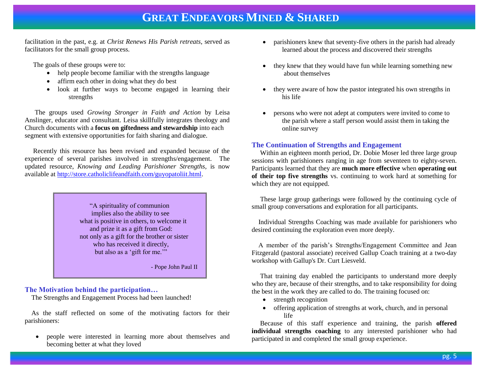facilitation in the past, e.g. at *Christ Renews His Parish retreats*, served as facilitators for the small group process.

The goals of these groups were to:

- help people become familiar with the strengths language
- affirm each other in doing what they do best
- look at further ways to become engaged in learning their strengths

 The groups used *Growing Stronger in Faith and Action* by Leisa Anslinger, educator and consultant. Leisa skillfully integrates theology and Church documents with a **focus on giftedness and stewardship** into each segment with extensive opportunities for faith sharing and dialogue.

 Recently this resource has been revised and expanded because of the experience of several parishes involved in strengths/engagement. The updated resource, *Knowing and Leading Parishioner Strengths,* is now available at [http://store.catholiclifeandfaith.com/guyopatoliit.html.](http://store.catholiclifeandfaith.com/guyopatoliit.html)

> "A spirituality of communion implies also the ability to see what is positive in others, to welcome it and prize it as a gift from God: not only as a gift for the brother or sister who has received it directly, but also as a 'gift for me.'"

> > - Pope John Paul II

### **The Motivation behind the participation…**

The Strengths and Engagement Process had been launched!

 As the staff reflected on some of the motivating factors for their parishioners:

 people were interested in learning more about themselves and becoming better at what they loved

- parishioners knew that seventy-five others in the parish had already learned about the process and discovered their strengths
- they knew that they would have fun while learning something new about themselves
- they were aware of how the pastor integrated his own strengths in his life
- persons who were not adept at computers were invited to come to the parish where a staff person would assist them in taking the online survey

### **The Continuation of Strengths and Engagement**

 Within an eighteen month period, Dr. Dobie Moser led three large group sessions with parishioners ranging in age from seventeen to eighty-seven. Participants learned that they are **much more effective** when **operating out of their top five strengths** vs. continuing to work hard at something for which they are not equipped.

 These large group gatherings were followed by the continuing cycle of small group conversations and exploration for all participants.

Individual Strengths Coaching was made available for parishioners who desired continuing the exploration even more deeply.

 A member of the parish's Strengths/Engagement Committee and Jean Fitzgerald (pastoral associate) received Gallup Coach training at a two-day workshop with Gallup's Dr. Curt Liesveld.

 That training day enabled the participants to understand more deeply who they are, because of their strengths, and to take responsibility for doing the best in the work they are called to do. The training focused on:

- strength recognition
- offering application of strengths at work, church, and in personal life

 Because of this staff experience and training, the parish **offered individual strengths coaching** to any interested parishioner who had participated in and completed the small group experience.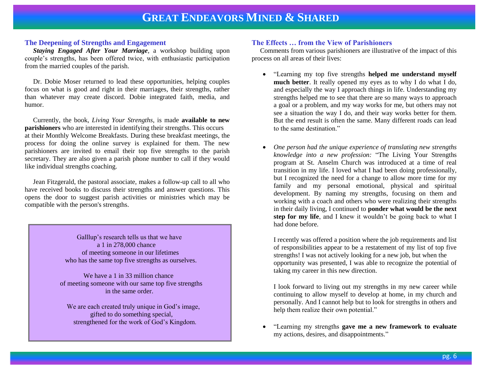#### **The Deepening of Strengths and Engagement**

 *Staying Engaged After Your Marriage*, a workshop building upon couple's strengths, has been offered twice, with enthusiastic participation from the married couples of the parish.

 Dr. Dobie Moser returned to lead these opportunities, helping couples focus on what is good and right in their marriages, their strengths, rather than whatever may create discord. Dobie integrated faith, media, and humor.

 Currently, the book, *Living Your Strengths*, is made **available to new parishioners** who are interested in identifying their strengths. This occurs at their Monthly Welcome Breakfasts. During these breakfast meetings, the process for doing the online survey is explained for them. The new parishioners are invited to email their top five strengths to the parish secretary. They are also given a parish phone number to call if they would like individual strengths coaching.

 Jean Fitzgerald, the pastoral associate, makes a follow-up call to all who have received books to discuss their strengths and answer questions. This opens the door to suggest parish activities or ministries which may be compatible with the person's strengths.

> Galllup's research tells us that we have a 1 in 278,000 chance of meeting someone in our lifetimes who has the same top five strengths as ourselves.

 We have a 1 in 33 million chance of meeting someone with our same top five strengths in the same order.

 We are each created truly unique in God's image, gifted to do something special, strengthened for the work of God's Kingdom.

#### **The Effects … from the View of Parishioners**

 Comments from various parishioners are illustrative of the impact of this process on all areas of their lives:

- "Learning my top five strengths **helped me understand myself much better**. It really opened my eyes as to why I do what I do, and especially the way I approach things in life. Understanding my strengths helped me to see that there are so many ways to approach a goal or a problem, and my way works for me, but others may not see a situation the way I do, and their way works better for them. But the end result is often the same. Many different roads can lead to the same destination."
- *One person had the unique experience of translating new strengths knowledge into a new profession:* "The Living Your Strengths program at St. Anselm Church was introduced at a time of real transition in my life. I loved what I had been doing professionally, but I recognized the need for a change to allow more time for my family and my personal emotional, physical and spiritual development. By naming my strengths, focusing on them and working with a coach and others who were realizing their strengths in their daily living, I continued to **ponder what would be the next step for my life**, and I knew it wouldn't be going back to what I had done before.

I recently was offered a position where the job requirements and list of responsibilities appear to be a restatement of my list of top five strengths! I was not actively looking for a new job, but when the opportunity was presented, I was able to recognize the potential of taking my career in this new direction.

I look forward to living out my strengths in my new career while continuing to allow myself to develop at home, in my church and personally. And I cannot help but to look for strengths in others and help them realize their own potential."

 "Learning my strengths **gave me a new framework to evaluate** my actions, desires, and disappointments."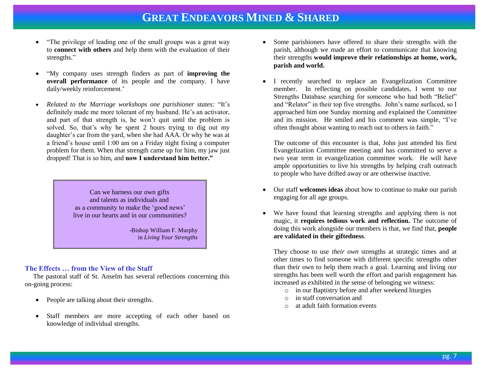- "The privilege of leading one of the small groups was a great way to **connect with others** and help them with the evaluation of their strengths."
- "My company uses strength finders as part of **improving the overall performance** of its people and the company. I have daily/weekly reinforcement."
- *Related to the Marriage workshops one parishioner states:* "It's definitely made me more tolerant of my husband. He's an activator, and part of that strength is, he won't quit until the problem is solved. So, that's why he spent 2 hours trying to dig out my daughter's car from the yard, when she had AAA. Or why he was at a friend's house until 1:00 am on a Friday night fixing a computer problem for them. When that strength came up for him, my jaw just dropped! That is so him, and **now I understand him better."**

 Can we harness our own gifts and talents as individuals and as a community to make the 'good news' live in our hearts and in our communities?

> -Bishop William F. Murphy in *Living Your Strengths*

#### **The Effects … from the View of the Staff**

 The pastoral staff of St. Anselm has several reflections concerning this on-going process:

- People are talking about their strengths.
- Staff members are more accepting of each other based on knowledge of individual strengths.
- Some parishioners have offered to share their strengths with the parish, although we made an effort to communicate that knowing their strengths **would improve their relationships at home, work, parish and world.**
- I recently searched to replace an Evangelization Committee member. In reflecting on possible candidates, I went to our Strengths Database searching for someone who had both "Belief" and "Relator" in their top five strengths. John's name surfaced, so I approached him one Sunday morning and explained the Committee and its mission. He smiled and his comment was simple, "I've often thought about wanting to reach out to others in faith."

The outcome of this encounter is that, John just attended his first Evangelization Committee meeting and has committed to serve a two year term in evangelization committee work. He will have ample opportunities to live his strengths by helping craft outreach to people who have drifted away or are otherwise inactive.

- Our staff **welcomes ideas** about how to continue to make our parish engaging for all age groups.
- We have found that learning strengths and applying them is not magic, it **requires tedious work and reflection.** The outcome of doing this work alongside our members is that, we find that, **people are validated in their giftedness**.

They choose to use *their own* strengths at strategic times and at other times to find someone with different specific strengths other than their own to help them reach a goal. Learning and living our strengths has been well worth the effort and parish engagement has increased as exhibited in the sense of belonging we witness:

- o in our Baptistry before and after weekend liturgies
- o in staff conversation and
- o at adult faith formation events